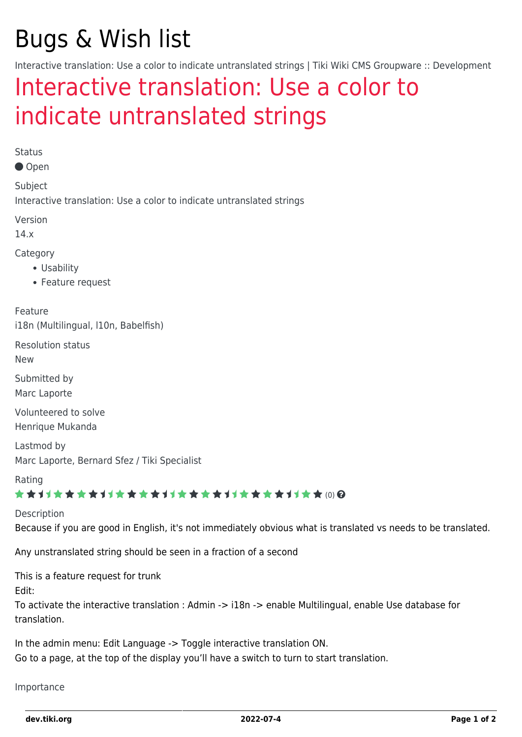# Bugs & Wish list

Interactive translation: Use a color to indicate untranslated strings | Tiki Wiki CMS Groupware :: Development

## [Interactive translation: Use a color to](https://dev.tiki.org/item4857-Interactive-translation-Use-a-color-to-indicate-untranslated-strings) [indicate untranslated strings](https://dev.tiki.org/item4857-Interactive-translation-Use-a-color-to-indicate-untranslated-strings)

Status

Open

Subject Interactive translation: Use a color to indicate untranslated strings

Version

14.x

Category

- Usability
- Feature request

Feature i18n (Multilingual, l10n, Babelfish)

Resolution status

New

Submitted by Marc Laporte

Volunteered to solve Henrique Mukanda

Lastmod by Marc Laporte, Bernard Sfez / Tiki Specialist

Rating

★★11★★★★11★★★★11★★★★11★★★★11★★ @@

Description Because if you are good in English, it's not immediately obvious what is translated vs needs to be translated.

Any unstranslated string should be seen in a fraction of a second

This is a feature request for trunk

Edit:

To activate the interactive translation : Admin -> i18n -> enable Multilingual, enable Use database for translation.

In the admin menu: Edit Language -> Toggle interactive translation ON. Go to a page, at the top of the display you'll have a switch to turn to start translation.

#### Importance